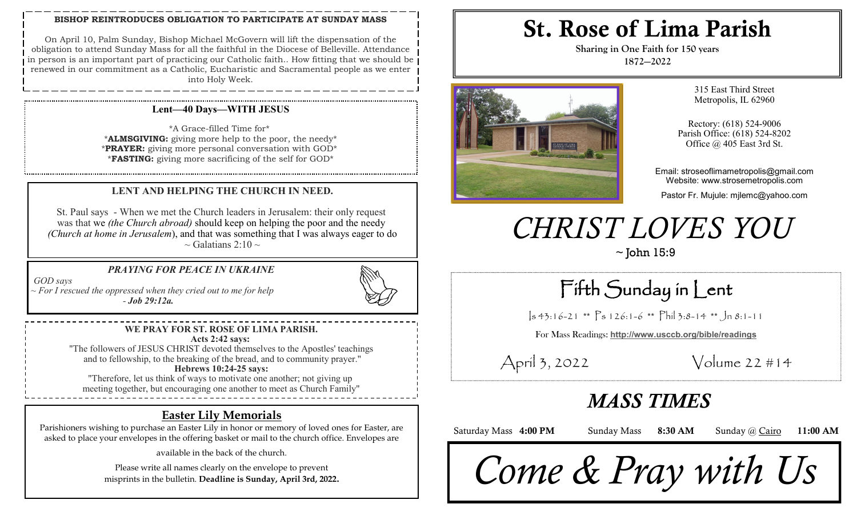#### **BISHOP REINTRODUCES OBLIGATION TO PARTICIPATE AT SUNDAY MASS**

On April 10, Palm Sunday, Bishop Michael McGovern will lift the dispensation of the obligation to attend Sunday Mass for all the faithful in the Diocese of Belleville. Attendance in person is an important part of practicing our Catholic faith.. How fitting that we should be renewed in our commitment as a Catholic, Eucharistic and Sacramental people as we enter into Holy Week.

#### **Lent—40 Days—WITH JESUS**

\*A Grace-filled Time for\* \***ALMSGIVING:** giving more help to the poor, the needy\* \***PRAYER:** giving more personal conversation with GOD\* \***FASTING:** giving more sacrificing of the self for GOD\*

#### **LENT AND HELPING THE CHURCH IN NEED.**

St. Paul says - When we met the Church leaders in Jerusalem: their only request was that we *(the Church abroad)* should keep on helping the poor and the needy *(Church at home in Jerusalem*), and that was something that I was always eager to do  $\sim$  Galatians 2:10  $\sim$ 

#### *PRAYING FOR PEACE IN UKRAINE*

*GOD says*

*~ For I rescued the oppressed when they cried out to me for help - Job 29:12a.*



"The followers of JESUS CHRIST devoted themselves to the Apostles' teachings and to fellowship, to the breaking of the bread, and to community prayer."

#### **Hebrews 10:24-25 says:**

"Therefore, let us think of ways to motivate one another; not giving up meeting together, but encouraging one another to meet as Church Family"

## **Easter Lily Memorials**

Parishioners wishing to purchase an Easter Lily in honor or memory of loved ones for Easter, are asked to place your envelopes in the offering basket or mail to the church office. Envelopes are

available in the back of the church.

Please write all names clearly on the envelope to prevent misprints in the bulletin. **Deadline is Sunday, April 3rd, 2022.** 

# St. Rose of Lima Parish

**Sharing in One Faith for 150 years 1872—2022**



315 East Third Street Metropolis, IL 62960

Rectory: (618) 524-9006 Parish Office: (618) 524-8202 Office @ 405 East 3rd St.

Email: stroseoflimametropolis@gmail.com Website: www.strosemetropolis.com

Pastor Fr. Mujule: mjlemc@yahoo.com

# *CHRIST LOVES YOU*

 $\sim$  John 15:9

Fifth Sunday in Lent

 $\vert s\,4\,3:1\,6-2\,1$  \*\*  $\vert s\,1\,2\,6:1-6$  \*\*  $\vert s\,1\,1\,1\,3:8-1\,4$  \*\*  $\vert s\,1\,1\,1\,1$ 

For Mass Readings: **http://www.usccb.org/bible/readings**

April 3, 2022 Volume 22 #14

# *MASS TIMES*

Saturday Mass 4:00 PM Sunday Mass 8:30 AM Sunday @ Cairo 11:00 AM